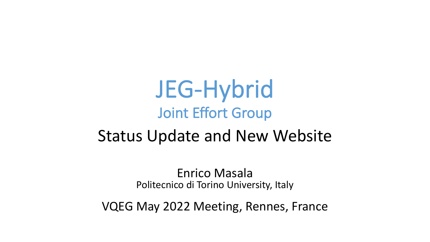JEG-Hybrid Joint Effort Group

### Status Update and New Website

Enrico Masala Politecnico di Torino University, Italy

VQEG May 2022 Meeting, Rennes, France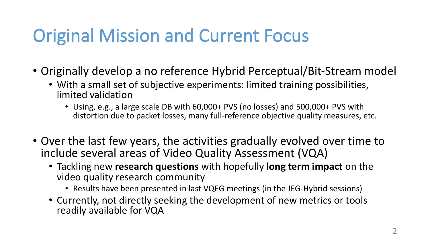# Original Mission and Current Focus

- Originally develop a no reference Hybrid Perceptual/Bit-Stream model
	- With a small set of subjective experiments: limited training possibilities, limited validation
		- Using, e.g., a large scale DB with 60,000+ PVS (no losses) and 500,000+ PVS with distortion due to packet losses, many full-reference objective quality measures, etc.
- Over the last few years, the activities gradually evolved over time to include several areas of Video Quality Assessment (VQA)
	- Tackling new **research questions** with hopefully **long term impact** on the video quality research community
		- Results have been presented in last VQEG meetings (in the JEG-Hybrid sessions)
	- Currently, not directly seeking the development of new metrics or tools readily available for VQA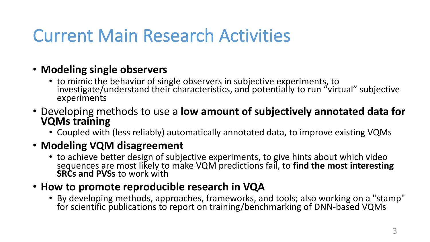## Current Main Research Activities

#### • **Modeling single observers**

- to mimic the behavior of single observers in subjective experiments, to investigate/understand their characteristics, and potentially to run "virtual" subjective experiments
- Developing methods to use a **low amount of subjectively annotated data for VQMs training**
	- Coupled with (less reliably) automatically annotated data, to improve existing VQMs

#### • **Modeling VQM disagreement**

- to achieve better design of subjective experiments, to give hints about which video sequences are most likely to make VQM predictions fail, to **find the most interesting**<br>**SRCs and PVSs** to work with
- **How to promote reproducible research in VQA**
	- By developing methods, approaches, frameworks, and tools; also working on a "stamp" for scientific publications to report on training/benchmarking of DNN-based VQMs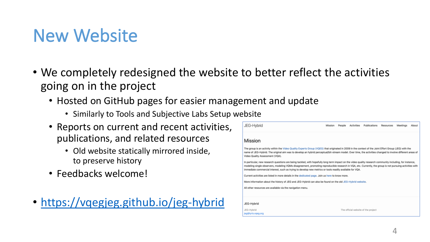### New Website

- We completely redesigned the website to better reflect the activities going on in the project
	- Hosted on GitHub pages for easier management and update
		- Similarly to Tools and Subjective Labs Setup website
	- Reports on current and recent activities, publications, and related resources
		- Old website statically mirrored inside, to preserve history
	- Feedbacks welcome!
- <https://vqegjeg.github.io/jeg-hybrid>

| JEG-Hybrid                                                                                                                                                                                                                                                                                                                                                                                                                        | Mission | People | <b>Activities</b> | Publications                        | Resources | Meetings | About |
|-----------------------------------------------------------------------------------------------------------------------------------------------------------------------------------------------------------------------------------------------------------------------------------------------------------------------------------------------------------------------------------------------------------------------------------|---------|--------|-------------------|-------------------------------------|-----------|----------|-------|
| Mission                                                                                                                                                                                                                                                                                                                                                                                                                           |         |        |                   |                                     |           |          |       |
| The group is an activity within the Video Quality Experts Group (VQEG) that originated in 2009 in the context of the Joint Effort Group (JEG) with the<br>name of JEG-Hybrid. The original aim was to develop an hybrid perceptual/bit-stream model. Over time, the activities changed to involve different areas of<br>Video Quality Assessment (VQA).                                                                           |         |        |                   |                                     |           |          |       |
| In particular, new research questions are being tackled, with hopefully long term impact on the video quality research community including, for instance,<br>modeling single observers, modeling VQMs disagreement, promoting reproducible research in VQA, etc. Currently, the group is not pursuing activities with<br>immediate commercial interest, such as trying to develop new metrics or tools readily available for VQA. |         |        |                   |                                     |           |          |       |
| Current activities are listed in more details in the dedicated page. Join us here to know more.                                                                                                                                                                                                                                                                                                                                   |         |        |                   |                                     |           |          |       |
| More information about the history of JEG and JEG-Hybrid can also be found on the old JEG-Hybrid website.                                                                                                                                                                                                                                                                                                                         |         |        |                   |                                     |           |          |       |
| All other resources are available via the navigation menu.                                                                                                                                                                                                                                                                                                                                                                        |         |        |                   |                                     |           |          |       |
|                                                                                                                                                                                                                                                                                                                                                                                                                                   |         |        |                   |                                     |           |          |       |
| JEG-Hybrid                                                                                                                                                                                                                                                                                                                                                                                                                        |         |        |                   |                                     |           |          |       |
| JEG-Hybrid                                                                                                                                                                                                                                                                                                                                                                                                                        |         |        |                   | The official website of the project |           |          |       |